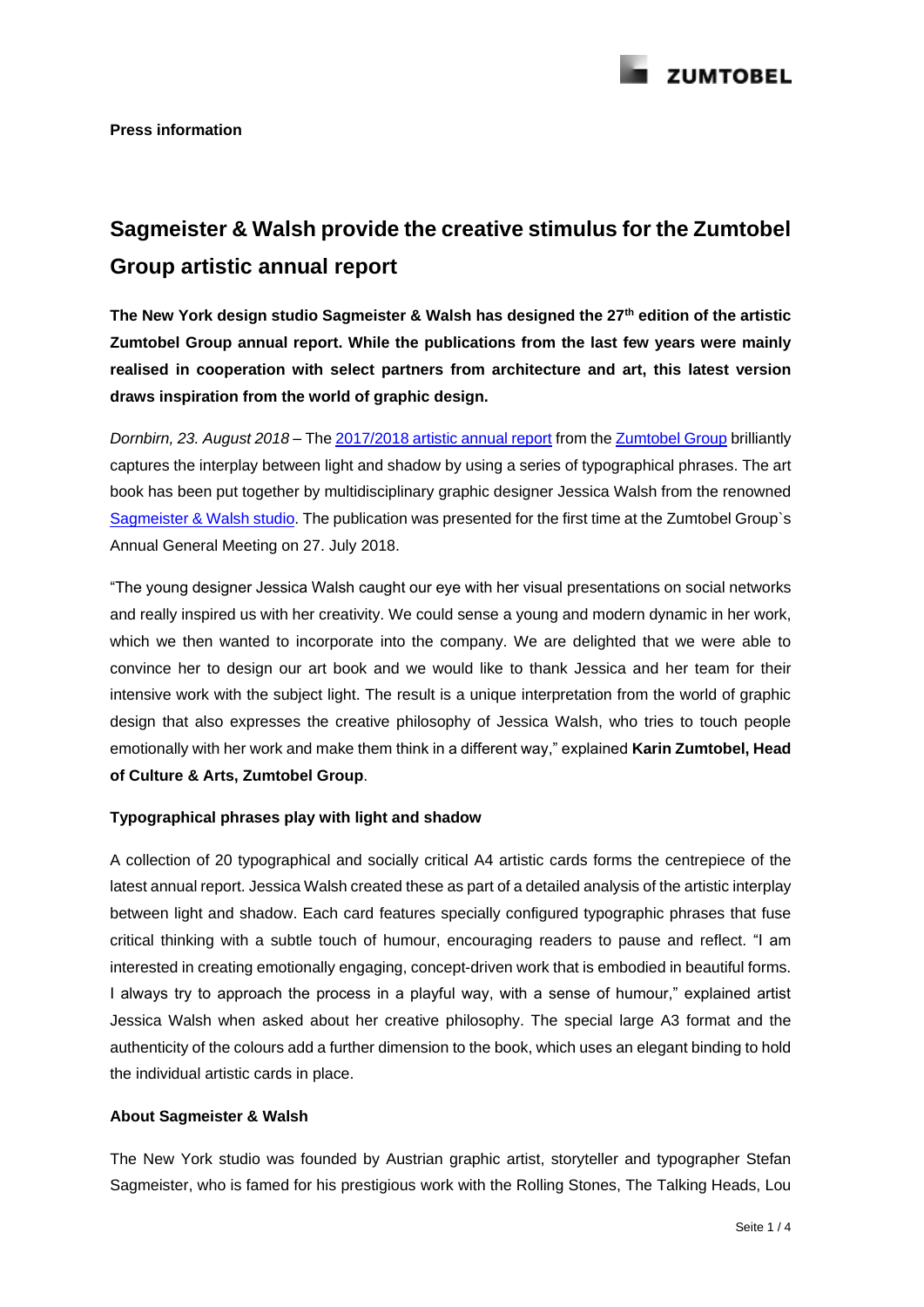

# **Sagmeister & Walsh provide the creative stimulus for the Zumtobel Group artistic annual report**

**The New York design studio Sagmeister & Walsh has designed the 27th edition of the artistic Zumtobel Group annual report. While the publications from the last few years were mainly realised in cooperation with select partners from architecture and art, this latest version draws inspiration from the world of graphic design.**

*Dornbirn, 23. August 2018 –* Th[e 2017/2018 artistic annual report](https://www.zumtobelgroup.com/en/annual_reports.htm) from the [Zumtobel Group](https://www.zumtobelgroup.com/en/index.htm) brilliantly captures the interplay between light and shadow by using a series of typographical phrases. The art book has been put together by multidisciplinary graphic designer Jessica Walsh from the renowned [Sagmeister & Walsh studio.](https://sagmeisterwalsh.com/) The publication was presented for the first time at the Zumtobel Group`s Annual General Meeting on 27. July 2018.

"The young designer Jessica Walsh caught our eye with her visual presentations on social networks and really inspired us with her creativity. We could sense a young and modern dynamic in her work, which we then wanted to incorporate into the company. We are delighted that we were able to convince her to design our art book and we would like to thank Jessica and her team for their intensive work with the subject light. The result is a unique interpretation from the world of graphic design that also expresses the creative philosophy of Jessica Walsh, who tries to touch people emotionally with her work and make them think in a different way," explained **Karin Zumtobel, Head of Culture & Arts, Zumtobel Group**.

# **Typographical phrases play with light and shadow**

A collection of 20 typographical and socially critical A4 artistic cards forms the centrepiece of the latest annual report. Jessica Walsh created these as part of a detailed analysis of the artistic interplay between light and shadow. Each card features specially configured typographic phrases that fuse critical thinking with a subtle touch of humour, encouraging readers to pause and reflect. "I am interested in creating emotionally engaging, concept-driven work that is embodied in beautiful forms. I always try to approach the process in a playful way, with a sense of humour," explained artist Jessica Walsh when asked about her creative philosophy. The special large A3 format and the authenticity of the colours add a further dimension to the book, which uses an elegant binding to hold the individual artistic cards in place.

# **About Sagmeister & Walsh**

The New York studio was founded by Austrian graphic artist, storyteller and typographer Stefan Sagmeister, who is famed for his prestigious work with the Rolling Stones, The Talking Heads, Lou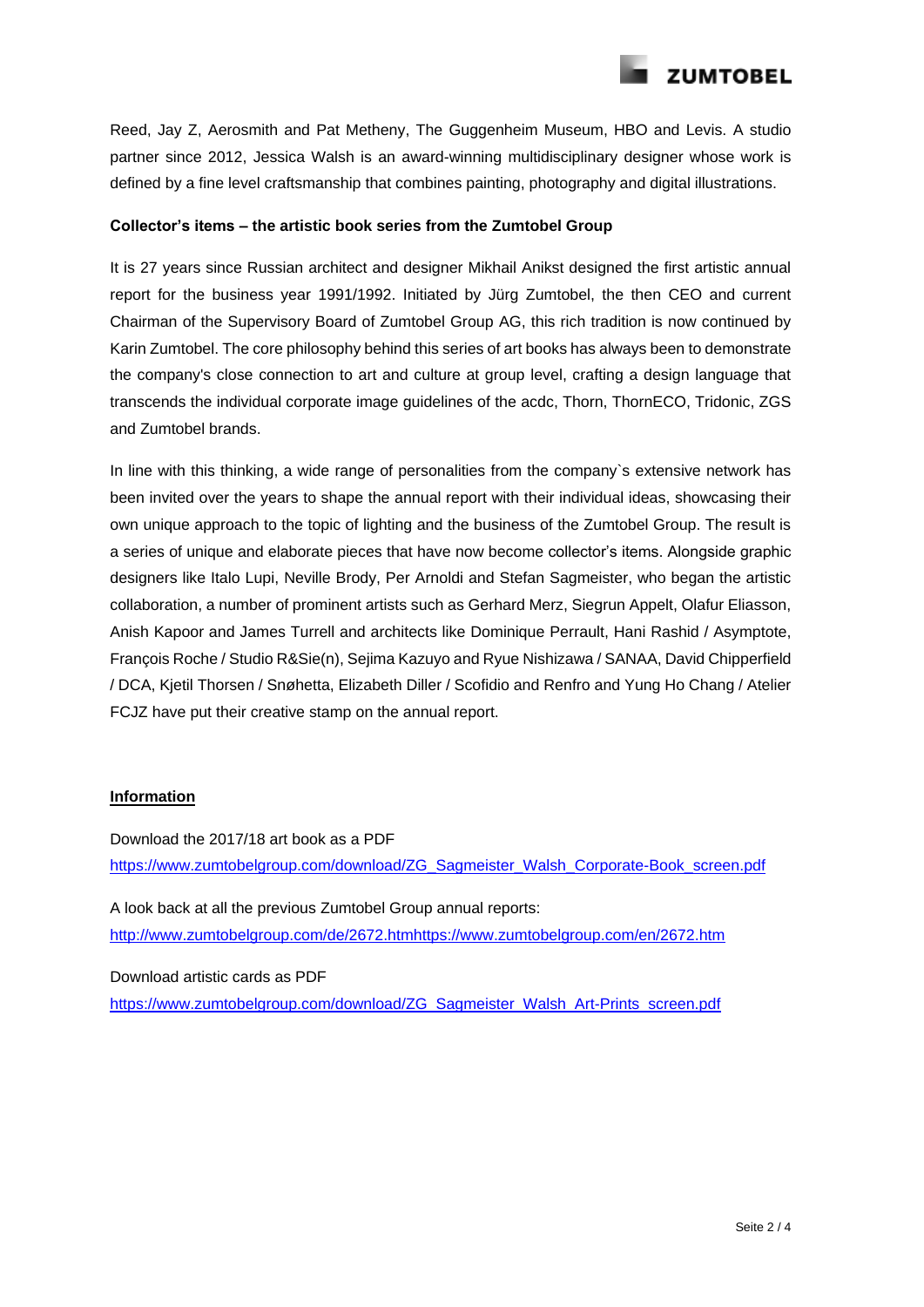

Reed, Jay Z, Aerosmith and Pat Metheny, The Guggenheim Museum, HBO and Levis. A studio partner since 2012, Jessica Walsh is an award-winning multidisciplinary designer whose work is defined by a fine level craftsmanship that combines painting, photography and digital illustrations.

### **Collector's items – the artistic book series from the Zumtobel Group**

It is 27 years since Russian architect and designer Mikhail Anikst designed the first artistic annual report for the business year 1991/1992. Initiated by Jürg Zumtobel, the then CEO and current Chairman of the Supervisory Board of Zumtobel Group AG, this rich tradition is now continued by Karin Zumtobel. The core philosophy behind this series of art books has always been to demonstrate the company's close connection to art and culture at group level, crafting a design language that transcends the individual corporate image guidelines of the acdc, Thorn, ThornECO, Tridonic, ZGS and Zumtobel brands.

In line with this thinking, a wide range of personalities from the company`s extensive network has been invited over the years to shape the annual report with their individual ideas, showcasing their own unique approach to the topic of lighting and the business of the Zumtobel Group. The result is a series of unique and elaborate pieces that have now become collector's items. Alongside graphic designers like Italo Lupi, Neville Brody, Per Arnoldi and Stefan Sagmeister, who began the artistic collaboration, a number of prominent artists such as Gerhard Merz, Siegrun Appelt, Olafur Eliasson, Anish Kapoor and James Turrell and architects like Dominique Perrault, Hani Rashid / Asymptote, François Roche / Studio R&Sie(n), Sejima Kazuyo and Ryue Nishizawa / SANAA, David Chipperfield / DCA, Kjetil Thorsen / Snøhetta, Elizabeth Diller / Scofidio and Renfro and Yung Ho Chang / Atelier FCJZ have put their creative stamp on the annual report.

#### **Information**

Download the 2017/18 art book as a PDF [https://www.zumtobelgroup.com/download/ZG\\_Sagmeister\\_Walsh\\_Corporate-Book\\_screen.pdf](https://www.zumtobelgroup.com/download/ZG_Sagmeister_Walsh_Corporate-Book_screen.pdf) A look back at all the previous Zumtobel Group annual reports: [http://www.zumtobelgroup.com/de/2672.htmhttps://www.zumtobelgroup.com/en/2672.htm](http://www.zumtobelgroup.com/de/2672.htm)

Download artistic cards as PDF [https://www.zumtobelgroup.com/download/ZG\\_Sagmeister\\_Walsh\\_Art-Prints\\_screen.pdf](https://www.zumtobelgroup.com/download/ZG_Sagmeister_Walsh_Art-Prints_screen.pdf)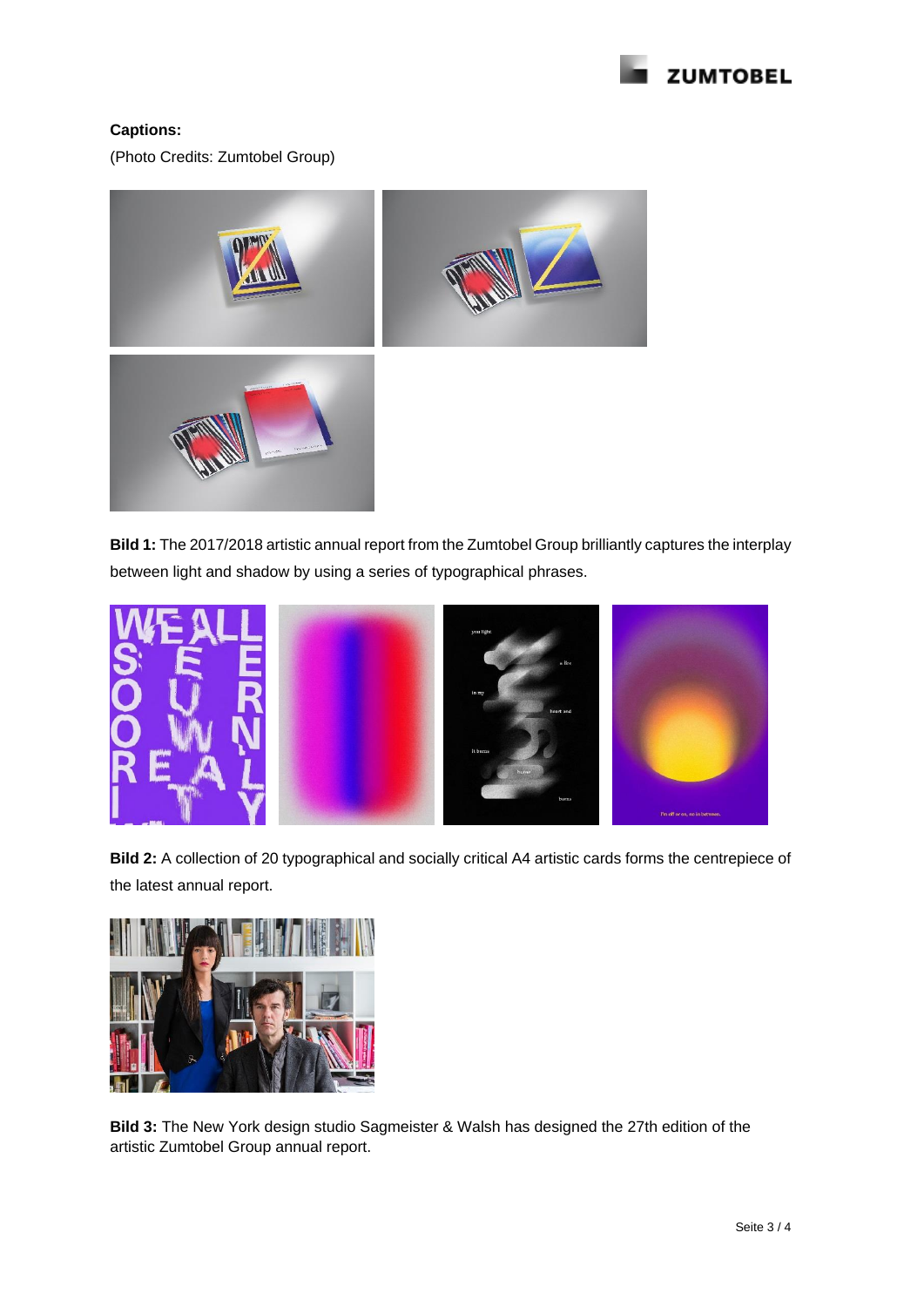

# **Captions:**

(Photo Credits: Zumtobel Group)



**Bild 1:** The 2017/2018 artistic annual report from the Zumtobel Group brilliantly captures the interplay between light and shadow by using a series of typographical phrases.



**Bild 2:** A collection of 20 typographical and socially critical A4 artistic cards forms the centrepiece of the latest annual report.



**Bild 3:** The New York design studio Sagmeister & Walsh has designed the 27th edition of the artistic Zumtobel Group annual report.